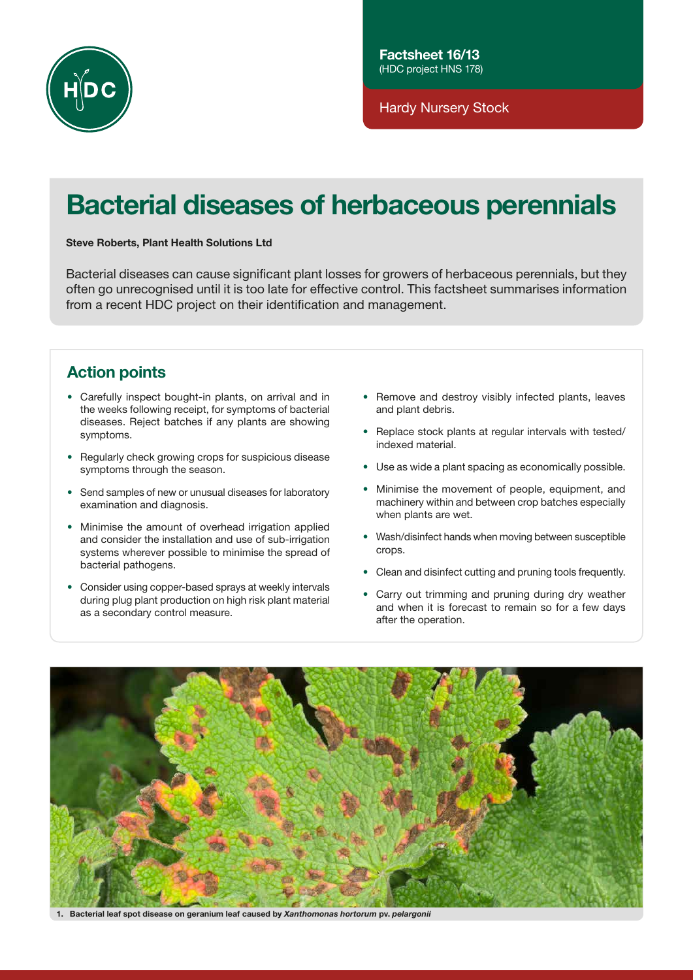

Hardy Nursery Stock

# Bacterial diseases of herbaceous perennials

# Steve Roberts, Plant Health Solutions Ltd

Bacterial diseases can cause significant plant losses for growers of herbaceous perennials, but they often go unrecognised until it is too late for effective control. This factsheet summarises information from a recent HDC project on their identification and management.

# Action points

- Carefully inspect bought-in plants, on arrival and in the weeks following receipt, for symptoms of bacterial diseases. Reject batches if any plants are showing symptoms.
- Regularly check growing crops for suspicious disease symptoms through the season.
- Send samples of new or unusual diseases for laboratory examination and diagnosis.
- Minimise the amount of overhead irrigation applied and consider the installation and use of sub-irrigation systems wherever possible to minimise the spread of bacterial pathogens.
- Consider using copper-based sprays at weekly intervals during plug plant production on high risk plant material as a secondary control measure.
- Remove and destroy visibly infected plants, leaves and plant debris.
- Replace stock plants at regular intervals with tested/ indexed material.
- Use as wide a plant spacing as economically possible.
- Minimise the movement of people, equipment, and machinery within and between crop batches especially when plants are wet.
- Wash/disinfect hands when moving between susceptible crops.
- Clean and disinfect cutting and pruning tools frequently.
- Carry out trimming and pruning during dry weather and when it is forecast to remain so for a few days after the operation.



1. Bacterial leaf spot disease on geranium leaf caused by *Xanthomonas hortorum* pv. *pelargonii*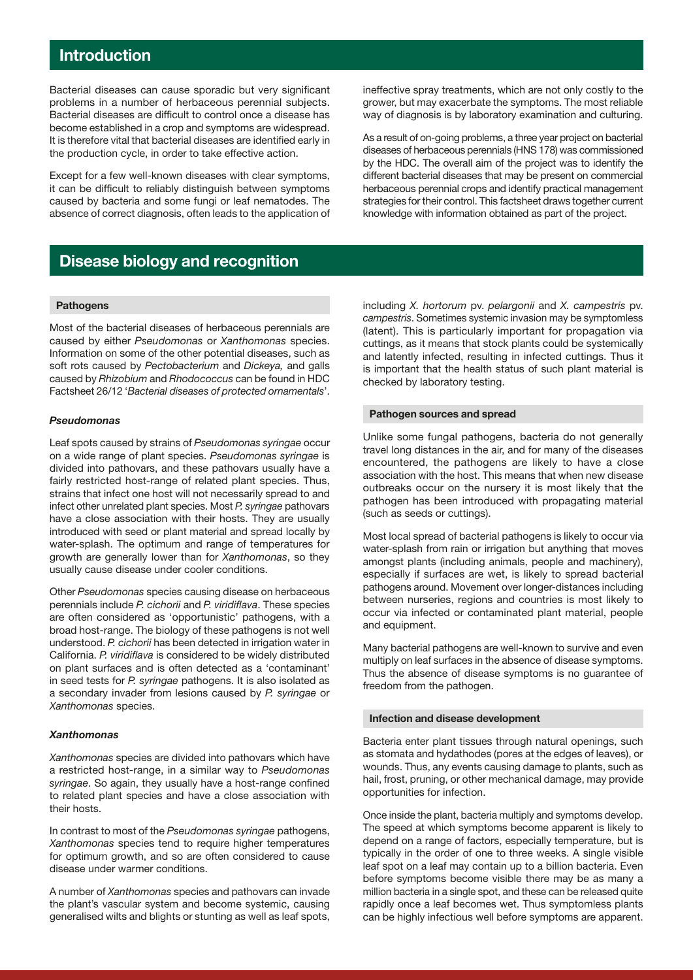# Introduction

Bacterial diseases can cause sporadic but very significant problems in a number of herbaceous perennial subjects. Bacterial diseases are difficult to control once a disease has become established in a crop and symptoms are widespread. It is therefore vital that bacterial diseases are identified early in the production cycle, in order to take effective action.

Except for a few well-known diseases with clear symptoms, it can be difficult to reliably distinguish between symptoms caused by bacteria and some fungi or leaf nematodes. The absence of correct diagnosis, often leads to the application of ineffective spray treatments, which are not only costly to the grower, but may exacerbate the symptoms. The most reliable way of diagnosis is by laboratory examination and culturing.

As a result of on-going problems, a three year project on bacterial diseases of herbaceous perennials (HNS 178) was commissioned by the HDC. The overall aim of the project was to identify the different bacterial diseases that may be present on commercial herbaceous perennial crops and identify practical management strategies for their control. This factsheet draws together current knowledge with information obtained as part of the project.

# Disease biology and recognition

### **Pathogens**

Most of the bacterial diseases of herbaceous perennials are caused by either *Pseudomonas* or *Xanthomonas* species. Information on some of the other potential diseases, such as soft rots caused by *Pectobacterium* and *Dickeya,* and galls caused by *Rhizobium* and *Rhodococcus* can be found in HDC Factsheet 26/12 '*Bacterial diseases of protected ornamentals*'.

# *Pseudomonas*

Leaf spots caused by strains of *Pseudomonas syringae* occur on a wide range of plant species. *Pseudomonas syringae* is divided into pathovars, and these pathovars usually have a fairly restricted host-range of related plant species. Thus, strains that infect one host will not necessarily spread to and infect other unrelated plant species. Most *P. syringae* pathovars have a close association with their hosts. They are usually introduced with seed or plant material and spread locally by water-splash. The optimum and range of temperatures for growth are generally lower than for *Xanthomonas*, so they usually cause disease under cooler conditions.

Other *Pseudomonas* species causing disease on herbaceous perennials include *P. cichorii* and *P. viridiflava*. These species are often considered as 'opportunistic' pathogens, with a broad host-range. The biology of these pathogens is not well understood. *P. cichorii* has been detected in irrigation water in California. *P. viridiflava* is considered to be widely distributed on plant surfaces and is often detected as a 'contaminant' in seed tests for *P. syringae* pathogens. It is also isolated as a secondary invader from lesions caused by *P. syringae* or *Xanthomonas* species.

# *Xanthomonas*

*Xanthomonas* species are divided into pathovars which have a restricted host-range, in a similar way to *Pseudomonas syringae*. So again, they usually have a host-range confined to related plant species and have a close association with their hosts.

In contrast to most of the *Pseudomonas syringae* pathogens, *Xanthomonas* species tend to require higher temperatures for optimum growth, and so are often considered to cause disease under warmer conditions.

A number of *Xanthomonas* species and pathovars can invade the plant's vascular system and become systemic, causing generalised wilts and blights or stunting as well as leaf spots,

including *X. hortorum* pv. *pelargonii* and *X. campestris* pv. *campestris*. Sometimes systemic invasion may be symptomless (latent). This is particularly important for propagation via cuttings, as it means that stock plants could be systemically and latently infected, resulting in infected cuttings. Thus it is important that the health status of such plant material is checked by laboratory testing.

### Pathogen sources and spread

Unlike some fungal pathogens, bacteria do not generally travel long distances in the air, and for many of the diseases encountered, the pathogens are likely to have a close association with the host. This means that when new disease outbreaks occur on the nursery it is most likely that the pathogen has been introduced with propagating material (such as seeds or cuttings).

Most local spread of bacterial pathogens is likely to occur via water-splash from rain or irrigation but anything that moves amongst plants (including animals, people and machinery), especially if surfaces are wet, is likely to spread bacterial pathogens around. Movement over longer-distances including between nurseries, regions and countries is most likely to occur via infected or contaminated plant material, people and equipment.

Many bacterial pathogens are well-known to survive and even multiply on leaf surfaces in the absence of disease symptoms. Thus the absence of disease symptoms is no guarantee of freedom from the pathogen.

# Infection and disease development

Bacteria enter plant tissues through natural openings, such as stomata and hydathodes (pores at the edges of leaves), or wounds. Thus, any events causing damage to plants, such as hail, frost, pruning, or other mechanical damage, may provide opportunities for infection.

Once inside the plant, bacteria multiply and symptoms develop. The speed at which symptoms become apparent is likely to depend on a range of factors, especially temperature, but is typically in the order of one to three weeks. A single visible leaf spot on a leaf may contain up to a billion bacteria. Even before symptoms become visible there may be as many a million bacteria in a single spot, and these can be released quite rapidly once a leaf becomes wet. Thus symptomless plants can be highly infectious well before symptoms are apparent.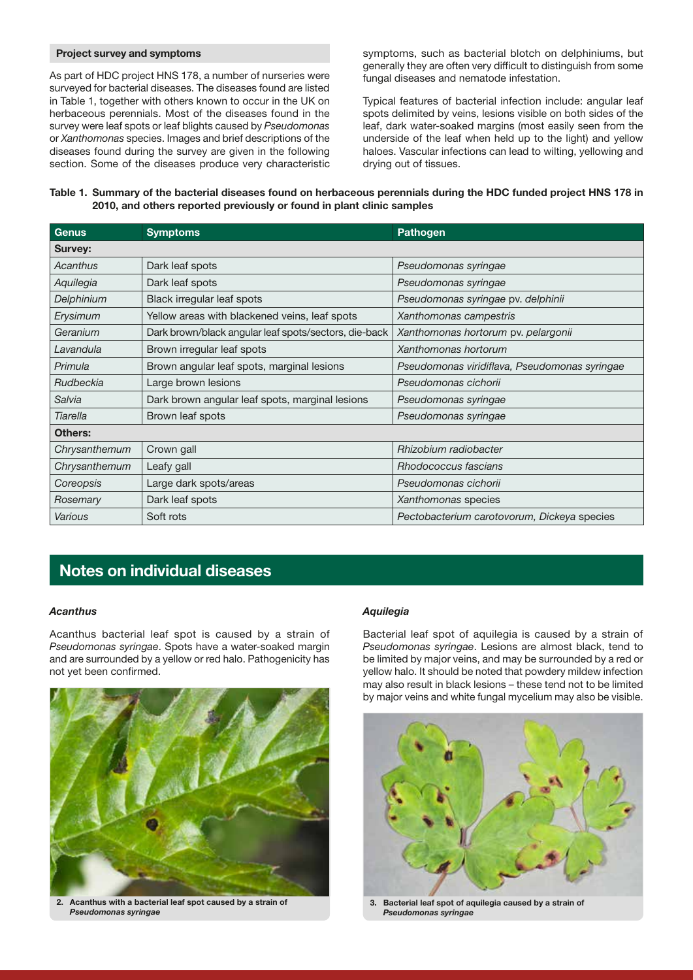### Project survey and symptoms

As part of HDC project HNS 178, a number of nurseries were surveyed for bacterial diseases. The diseases found are listed in Table 1, together with others known to occur in the UK on herbaceous perennials. Most of the diseases found in the survey were leaf spots or leaf blights caused by *Pseudomonas* or *Xanthomonas* species. Images and brief descriptions of the diseases found during the survey are given in the following section. Some of the diseases produce very characteristic symptoms, such as bacterial blotch on delphiniums, but generally they are often very difficult to distinguish from some fungal diseases and nematode infestation.

Typical features of bacterial infection include: angular leaf spots delimited by veins, lesions visible on both sides of the leaf, dark water-soaked margins (most easily seen from the underside of the leaf when held up to the light) and yellow haloes. Vascular infections can lead to wilting, yellowing and drying out of tissues.

# Table 1. Summary of the bacterial diseases found on herbaceous perennials during the HDC funded project HNS 178 in 2010, and others reported previously or found in plant clinic samples

| <b>Genus</b>  | <b>Symptoms</b>                                       | <b>Pathogen</b>                               |
|---------------|-------------------------------------------------------|-----------------------------------------------|
| Survey:       |                                                       |                                               |
| Acanthus      | Dark leaf spots                                       | Pseudomonas syringae                          |
| Aquilegia     | Dark leaf spots                                       | Pseudomonas syringae                          |
| Delphinium    | Black irregular leaf spots                            | Pseudomonas syringae pv. delphinii            |
| Erysimum      | Yellow areas with blackened veins, leaf spots         | Xanthomonas campestris                        |
| Geranium      | Dark brown/black angular leaf spots/sectors, die-back | Xanthomonas hortorum pv. pelargonii           |
| Lavandula     | Brown irregular leaf spots                            | Xanthomonas hortorum                          |
| Primula       | Brown angular leaf spots, marginal lesions            | Pseudomonas viridiflava, Pseudomonas syringae |
| Rudbeckia     | Large brown lesions                                   | Pseudomonas cichorii                          |
| Salvia        | Dark brown angular leaf spots, marginal lesions       | Pseudomonas syringae                          |
| Tiarella      | Brown leaf spots                                      | Pseudomonas syringae                          |
| Others:       |                                                       |                                               |
| Chrysanthemum | Crown gall                                            | Rhizobium radiobacter                         |
| Chrysanthemum | Leafy gall                                            | Rhodococcus fascians                          |
| Coreopsis     | Large dark spots/areas                                | Pseudomonas cichorii                          |
| Rosemary      | Dark leaf spots                                       | Xanthomonas species                           |
| Various       | Soft rots                                             | Pectobacterium carotovorum, Dickeya species   |

# Notes on individual diseases

# *Acanthus*

Acanthus bacterial leaf spot is caused by a strain of *Pseudomonas syringae*. Spots have a water-soaked margin and are surrounded by a yellow or red halo. Pathogenicity has not yet been confirmed.



2. Acanthus with a bacterial leaf spot caused by a strain of *Pseudomonas syringae*

# *Aquilegia*

Bacterial leaf spot of aquilegia is caused by a strain of *Pseudomonas syringae*. Lesions are almost black, tend to be limited by major veins, and may be surrounded by a red or yellow halo. It should be noted that powdery mildew infection may also result in black lesions – these tend not to be limited by major veins and white fungal mycelium may also be visible.



*Pseudomonas syringae*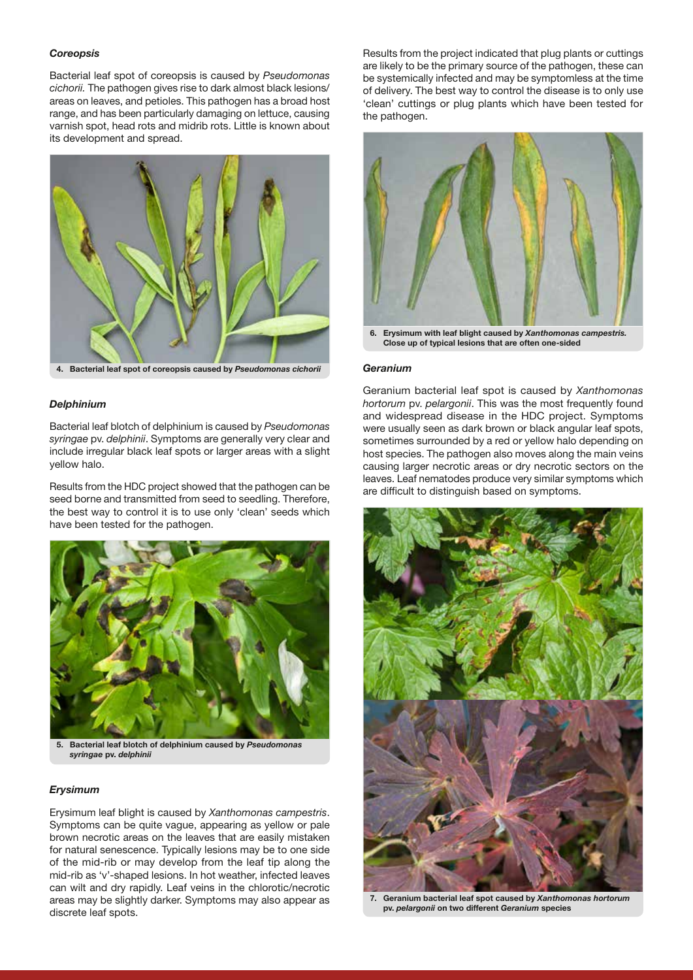#### *Coreopsis*

Bacterial leaf spot of coreopsis is caused by *Pseudomonas cichorii.* The pathogen gives rise to dark almost black lesions/ areas on leaves, and petioles. This pathogen has a broad host range, and has been particularly damaging on lettuce, causing varnish spot, head rots and midrib rots. Little is known about its development and spread.



4. Bacterial leaf spot of coreopsis caused by *Pseudomonas cichorii*

# *Delphinium*

Bacterial leaf blotch of delphinium is caused by *Pseudomonas syringae* pv. *delphinii*. Symptoms are generally very clear and include irregular black leaf spots or larger areas with a slight yellow halo.

Results from the HDC project showed that the pathogen can be seed borne and transmitted from seed to seedling. Therefore, the best way to control it is to use only 'clean' seeds which have been tested for the pathogen.



*syringae* pv. *delphinii*

#### *Erysimum*

Erysimum leaf blight is caused by *Xanthomonas campestris*. Symptoms can be quite vague, appearing as yellow or pale brown necrotic areas on the leaves that are easily mistaken for natural senescence. Typically lesions may be to one side of the mid-rib or may develop from the leaf tip along the mid-rib as 'v'-shaped lesions. In hot weather, infected leaves can wilt and dry rapidly. Leaf veins in the chlorotic/necrotic areas may be slightly darker. Symptoms may also appear as discrete leaf spots.

Results from the project indicated that plug plants or cuttings are likely to be the primary source of the pathogen, these can be systemically infected and may be symptomless at the time of delivery. The best way to control the disease is to only use 'clean' cuttings or plug plants which have been tested for the pathogen.



#### *Geranium*

Geranium bacterial leaf spot is caused by *Xanthomonas hortorum* pv. *pelargonii*. This was the most frequently found and widespread disease in the HDC project. Symptoms were usually seen as dark brown or black angular leaf spots, sometimes surrounded by a red or yellow halo depending on host species. The pathogen also moves along the main veins causing larger necrotic areas or dry necrotic sectors on the leaves. Leaf nematodes produce very similar symptoms which are difficult to distinguish based on symptoms.



7. Geranium bacterial leaf spot caused by *Xanthomonas hortorum*  pv. *pelargonii* on two different *Geranium* species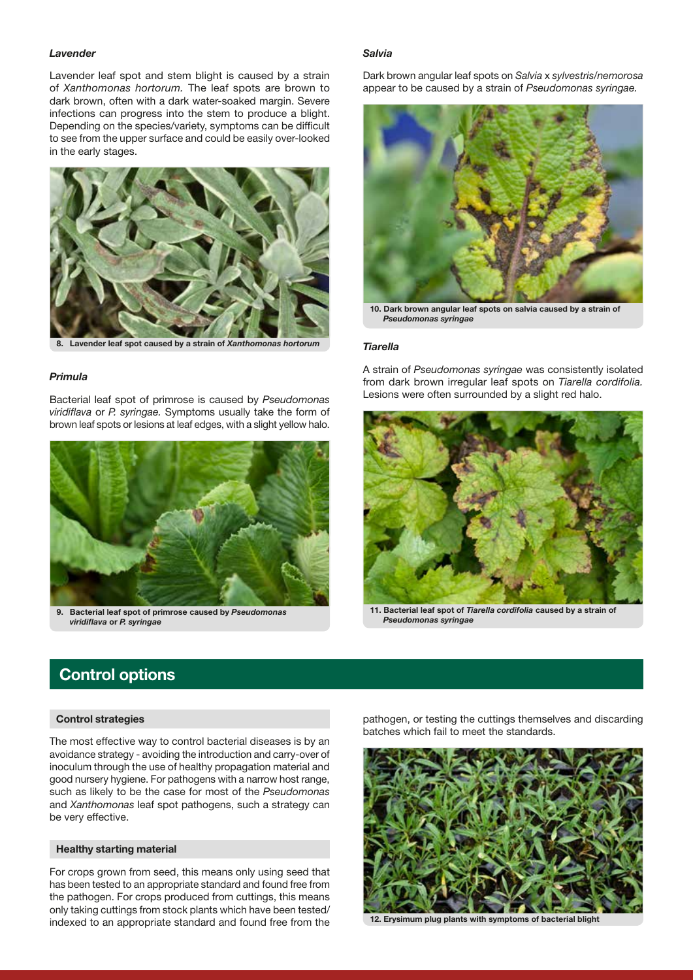#### *Lavender*

Lavender leaf spot and stem blight is caused by a strain of *Xanthomonas hortorum.* The leaf spots are brown to dark brown, often with a dark water-soaked margin. Severe infections can progress into the stem to produce a blight. Depending on the species/variety, symptoms can be difficult to see from the upper surface and could be easily over-looked in the early stages.



8. Lavender leaf spot caused by a strain of *Xanthomonas hortorum*

### *Primula*

Bacterial leaf spot of primrose is caused by *Pseudomonas viridiflava* or *P. syringae.* Symptoms usually take the form of brown leaf spots or lesions at leaf edges, with a slight yellow halo.



9. Bacterial leaf spot of primrose caused by *Pseudomonas viridiflava* or *P. syringae*

#### *Salvia*

Dark brown angular leaf spots on *Salvia* x *sylvestris/nemorosa*  appear to be caused by a strain of *Pseudomonas syringae.*



10. Dark brown angular leaf spots on salvia caused by a strain of *Pseudomonas syringae*

#### *Tiarella*

A strain of *Pseudomonas syringae* was consistently isolated from dark brown irregular leaf spots on *Tiarella cordifolia.*  Lesions were often surrounded by a slight red halo.



11. Bacterial leaf spot of *Tiarella cordifolia* caused by a strain of *Pseudomonas syringae*

# Control options

# Control strategies

The most effective way to control bacterial diseases is by an avoidance strategy - avoiding the introduction and carry-over of inoculum through the use of healthy propagation material and good nursery hygiene. For pathogens with a narrow host range, such as likely to be the case for most of the *Pseudomonas*  and *Xanthomonas* leaf spot pathogens, such a strategy can be very effective.

### Healthy starting material

For crops grown from seed, this means only using seed that has been tested to an appropriate standard and found free from the pathogen. For crops produced from cuttings, this means only taking cuttings from stock plants which have been tested/ indexed to an appropriate standard and found free from the pathogen, or testing the cuttings themselves and discarding batches which fail to meet the standards.



12. Erysimum plug plants with symptoms of bacterial blight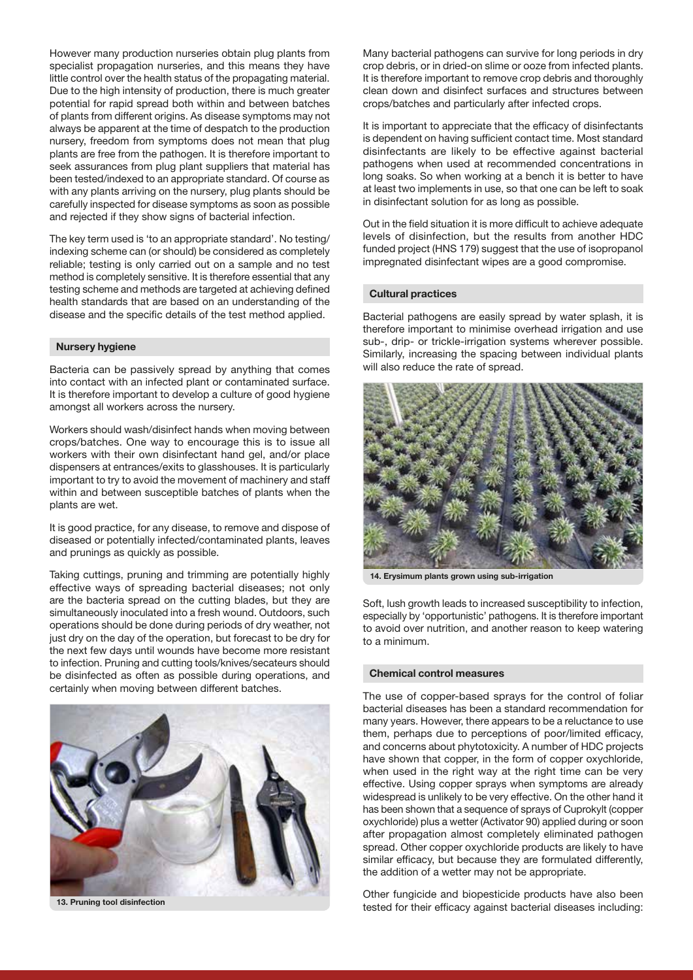However many production nurseries obtain plug plants from specialist propagation nurseries, and this means they have little control over the health status of the propagating material. Due to the high intensity of production, there is much greater potential for rapid spread both within and between batches of plants from different origins. As disease symptoms may not always be apparent at the time of despatch to the production nursery, freedom from symptoms does not mean that plug plants are free from the pathogen. It is therefore important to seek assurances from plug plant suppliers that material has been tested/indexed to an appropriate standard. Of course as with any plants arriving on the nursery, plug plants should be carefully inspected for disease symptoms as soon as possible and rejected if they show signs of bacterial infection.

The key term used is 'to an appropriate standard'. No testing/ indexing scheme can (or should) be considered as completely reliable; testing is only carried out on a sample and no test method is completely sensitive. It is therefore essential that any testing scheme and methods are targeted at achieving defined health standards that are based on an understanding of the disease and the specific details of the test method applied.

### Nursery hygiene

Bacteria can be passively spread by anything that comes into contact with an infected plant or contaminated surface. It is therefore important to develop a culture of good hygiene amongst all workers across the nursery.

Workers should wash/disinfect hands when moving between crops/batches. One way to encourage this is to issue all workers with their own disinfectant hand gel, and/or place dispensers at entrances/exits to glasshouses. It is particularly important to try to avoid the movement of machinery and staff within and between susceptible batches of plants when the plants are wet.

It is good practice, for any disease, to remove and dispose of diseased or potentially infected/contaminated plants, leaves and prunings as quickly as possible.

Taking cuttings, pruning and trimming are potentially highly effective ways of spreading bacterial diseases; not only are the bacteria spread on the cutting blades, but they are simultaneously inoculated into a fresh wound. Outdoors, such operations should be done during periods of dry weather, not just dry on the day of the operation, but forecast to be dry for the next few days until wounds have become more resistant to infection. Pruning and cutting tools/knives/secateurs should be disinfected as often as possible during operations, and certainly when moving between different batches.



13. Pruning tool disinfection

Many bacterial pathogens can survive for long periods in dry crop debris, or in dried-on slime or ooze from infected plants. It is therefore important to remove crop debris and thoroughly clean down and disinfect surfaces and structures between crops/batches and particularly after infected crops.

It is important to appreciate that the efficacy of disinfectants is dependent on having sufficient contact time. Most standard disinfectants are likely to be effective against bacterial pathogens when used at recommended concentrations in long soaks. So when working at a bench it is better to have at least two implements in use, so that one can be left to soak in disinfectant solution for as long as possible.

Out in the field situation it is more difficult to achieve adequate levels of disinfection, but the results from another HDC funded project (HNS 179) suggest that the use of isopropanol impregnated disinfectant wipes are a good compromise.

#### Cultural practices

Bacterial pathogens are easily spread by water splash, it is therefore important to minimise overhead irrigation and use sub-, drip- or trickle-irrigation systems wherever possible. Similarly, increasing the spacing between individual plants will also reduce the rate of spread.



14. Erysimum plants grown using sub-irrigation

Soft, lush growth leads to increased susceptibility to infection, especially by 'opportunistic' pathogens. It is therefore important to avoid over nutrition, and another reason to keep watering to a minimum.

### Chemical control measures

The use of copper-based sprays for the control of foliar bacterial diseases has been a standard recommendation for many years. However, there appears to be a reluctance to use them, perhaps due to perceptions of poor/limited efficacy, and concerns about phytotoxicity. A number of HDC projects have shown that copper, in the form of copper oxychloride, when used in the right way at the right time can be very effective. Using copper sprays when symptoms are already widespread is unlikely to be very effective. On the other hand it has been shown that a sequence of sprays of Cuprokylt (copper oxychloride) plus a wetter (Activator 90) applied during or soon after propagation almost completely eliminated pathogen spread. Other copper oxychloride products are likely to have similar efficacy, but because they are formulated differently, the addition of a wetter may not be appropriate.

Other fungicide and biopesticide products have also been tested for their efficacy against bacterial diseases including: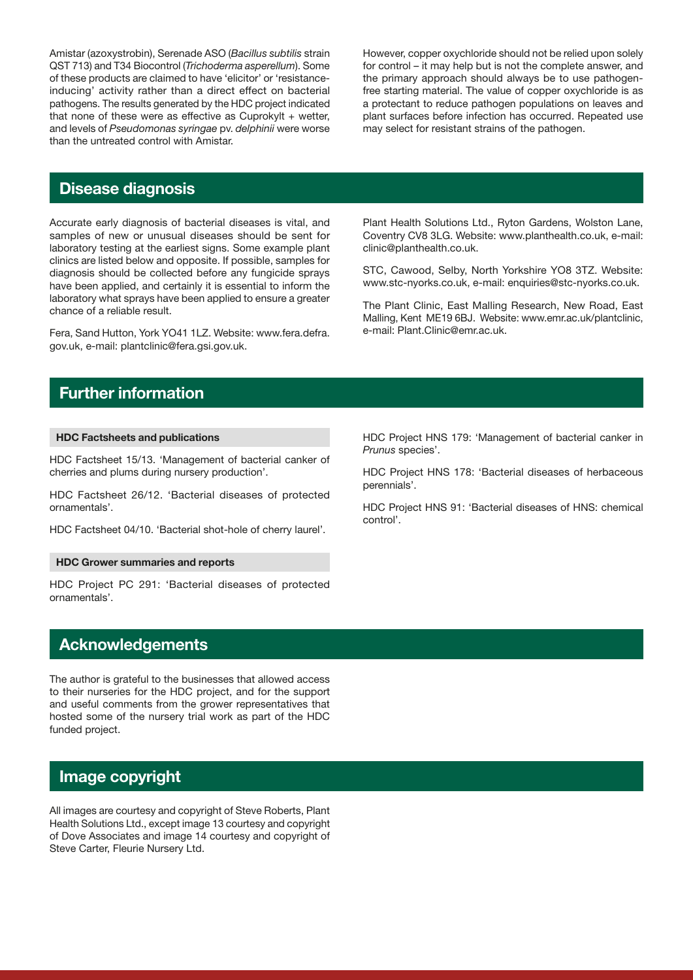Amistar (azoxystrobin), Serenade ASO (*Bacillus subtilis* strain QST 713) and T34 Biocontrol (*Trichoderma asperellum*). Some of these products are claimed to have 'elicitor' or 'resistanceinducing' activity rather than a direct effect on bacterial pathogens. The results generated by the HDC project indicated that none of these were as effective as Cuprokylt  $+$  wetter, and levels of *Pseudomonas syringae* pv. *delphinii* were worse than the untreated control with Amistar.

However, copper oxychloride should not be relied upon solely for control – it may help but is not the complete answer, and the primary approach should always be to use pathogenfree starting material. The value of copper oxychloride is as a protectant to reduce pathogen populations on leaves and plant surfaces before infection has occurred. Repeated use may select for resistant strains of the pathogen.

# Disease diagnosis

Accurate early diagnosis of bacterial diseases is vital, and samples of new or unusual diseases should be sent for laboratory testing at the earliest signs. Some example plant clinics are listed below and opposite. If possible, samples for diagnosis should be collected before any fungicide sprays have been applied, and certainly it is essential to inform the laboratory what sprays have been applied to ensure a greater chance of a reliable result.

Fera, Sand Hutton, York YO41 1LZ. Website: www.fera.defra. gov.uk, e-mail: plantclinic@fera.gsi.gov.uk.

Plant Health Solutions Ltd., Ryton Gardens, Wolston Lane, Coventry CV8 3LG. Website: www.planthealth.co.uk, e-mail: clinic@planthealth.co.uk.

STC, Cawood, Selby, North Yorkshire YO8 3TZ. Website: www.stc-nyorks.co.uk, e-mail: enquiries@stc-nyorks.co.uk.

The Plant Clinic, East Malling Research, New Road, East Malling, Kent ME19 6BJ. Website: www.emr.ac.uk/plantclinic, e-mail: Plant.Clinic@emr.ac.uk.

# Further information

# HDC Factsheets and publications

HDC Factsheet 15/13. 'Management of bacterial canker of cherries and plums during nursery production'.

HDC Factsheet 26/12. 'Bacterial diseases of protected ornamentals'.

HDC Factsheet 04/10. 'Bacterial shot-hole of cherry laurel'.

### HDC Grower summaries and reports

HDC Project PC 291: 'Bacterial diseases of protected ornamentals'.

# **Acknowledgements**

The author is grateful to the businesses that allowed access to their nurseries for the HDC project, and for the support and useful comments from the grower representatives that hosted some of the nursery trial work as part of the HDC funded project.

# Image copyright

All images are courtesy and copyright of Steve Roberts, Plant Health Solutions Ltd., except image 13 courtesy and copyright of Dove Associates and image 14 courtesy and copyright of Steve Carter, Fleurie Nursery Ltd.

HDC Project HNS 179: 'Management of bacterial canker in *Prunus* species'.

HDC Project HNS 178: 'Bacterial diseases of herbaceous perennials'.

HDC Project HNS 91: 'Bacterial diseases of HNS: chemical control'.